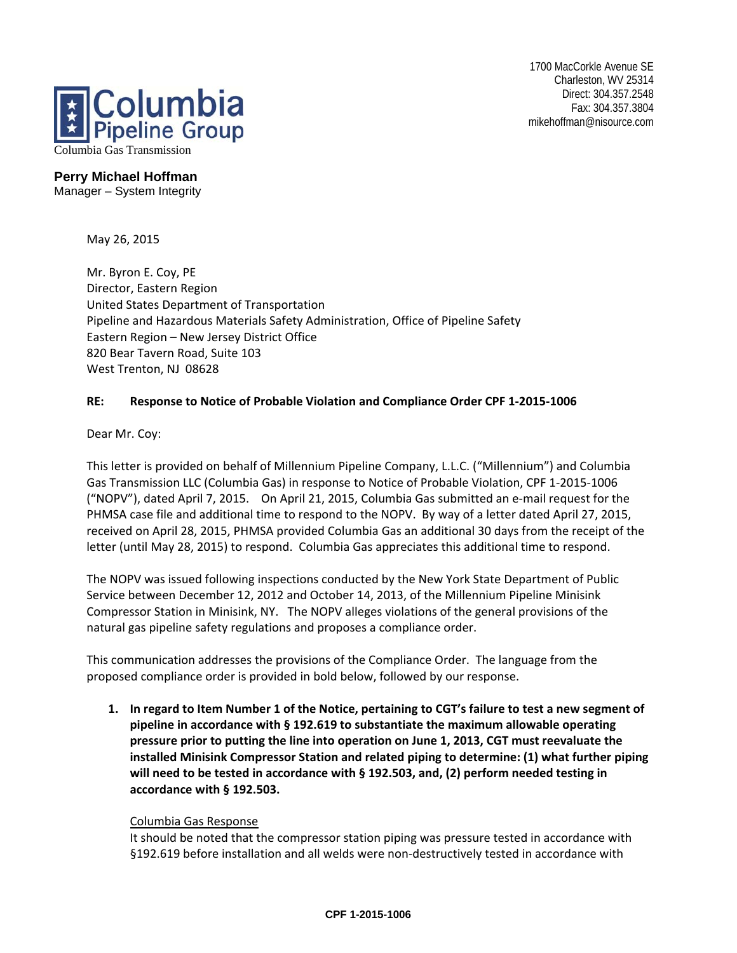

1700 MacCorkle Avenue SE Charleston, WV 25314 Direct: 304.357.2548 Fax: 304.357.3804 mikehoffman@nisource.com

# **Perry Michael Hoffman**

Manager – System Integrity

May 26, 2015

Mr. Byron E. Coy, PE Director, Eastern Region United States Department of Transportation Pipeline and Hazardous Materials Safety Administration, Office of Pipeline Safety Eastern Region – New Jersey District Office 820 Bear Tavern Road, Suite 103 West Trenton, NJ 08628

# **RE: Response to Notice of Probable Violation and Compliance Order CPF 1-2015-1006**

Dear Mr. Coy:

This letter is provided on behalf of Millennium Pipeline Company, L.L.C. ("Millennium") and Columbia Gas Transmission LLC (Columbia Gas) in response to Notice of Probable Violation, CPF 1-2015-1006 ("NOPV"), dated April 7, 2015. On April 21, 2015, Columbia Gas submitted an e-mail request for the PHMSA case file and additional time to respond to the NOPV. By way of a letter dated April 27, 2015, received on April 28, 2015, PHMSA provided Columbia Gas an additional 30 days from the receipt of the letter (until May 28, 2015) to respond. Columbia Gas appreciates this additional time to respond.

The NOPV was issued following inspections conducted by the New York State Department of Public Service between December 12, 2012 and October 14, 2013, of the Millennium Pipeline Minisink Compressor Station in Minisink, NY. The NOPV alleges violations of the general provisions of the natural gas pipeline safety regulations and proposes a compliance order.

This communication addresses the provisions of the Compliance Order. The language from the proposed compliance order is provided in bold below, followed by our response.

**1. In regard to Item Number 1 of the Notice, pertaining to CGT's failure to test a new segment of pipeline in accordance with § 192.619 to substantiate the maximum allowable operating pressure prior to putting the line into operation on June 1, 2013, CGT must reevaluate the installed Minisink Compressor Station and related piping to determine: (1) what further piping will need to be tested in accordance with § 192.503, and, (2) perform needed testing in accordance with § 192.503.** 

# Columbia Gas Response

It should be noted that the compressor station piping was pressure tested in accordance with §192.619 before installation and all welds were non-destructively tested in accordance with